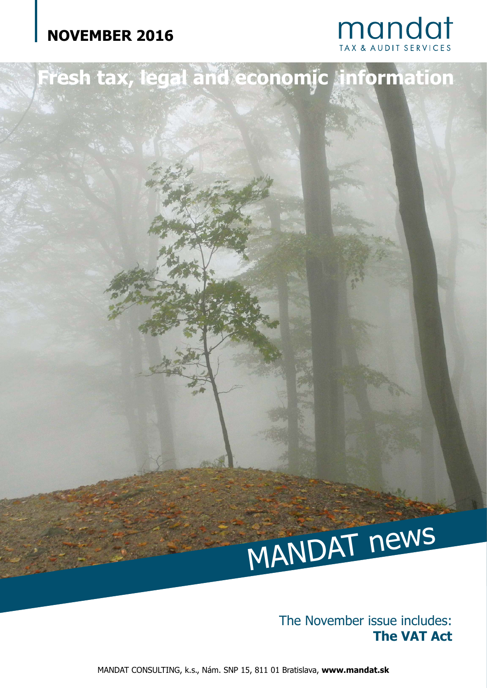# **NOVEMBER 2016**





**Fresh tax, legal and economic information**

The November issue includes: **The VAT Act**

MANDAT CONSULTING, k.s., Nám. SNP 15, 811 01 Bratislava, **www.mandat.sk**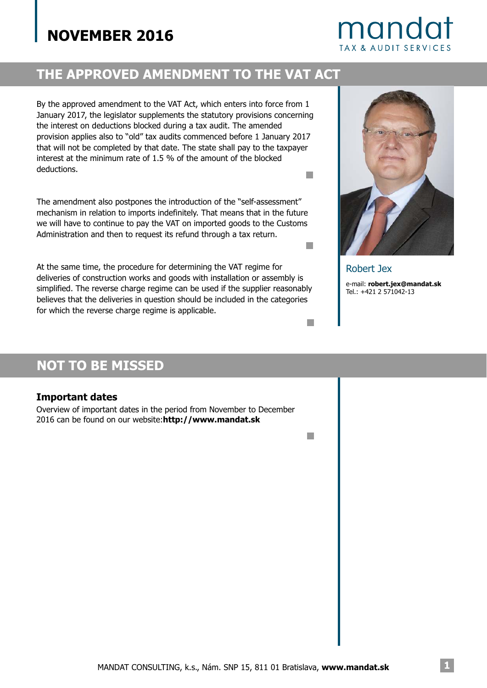# **NOVEMBER 2016**

# mandat TAX & AUDIT SERVICES

### **THE APPROVED AMENDMENT TO THE VAT ACT**

By the approved amendment to the VAT Act, which enters into force from 1 January 2017, the legislator supplements the statutory provisions concerning the interest on deductions blocked during a tax audit. The amended provision applies also to "old" tax audits commenced before 1 January 2017 that will not be completed by that date. The state shall pay to the taxpayer interest at the minimum rate of 1.5 % of the amount of the blocked deductions. H

The amendment also postpones the introduction of the "self-assessment" mechanism in relation to imports indefinitely. That means that in the future we will have to continue to pay the VAT on imported goods to the Customs Administration and then to request its refund through a tax return.

At the same time, the procedure for determining the VAT regime for deliveries of construction works and goods with installation or assembly is simplified. The reverse charge regime can be used if the supplier reasonably believes that the deliveries in question should be included in the categories for which the reverse charge regime is applicable. Ne procedure for determining the VAT regime for the Mandator of the supplier reasonably<br>the problem of the supplier reasonably<br>deliveries in question should be included in the categories<br>species thange regime is applicable



H

e-mail: **robert.jex@mandat.sk** Tel.: +421 2 571042-13

### **NOT TO BE MISSED**

#### **Important dates**

Overview of important dates in the period from November to December 2016 can be found on our website:**http://www.mandat.sk**